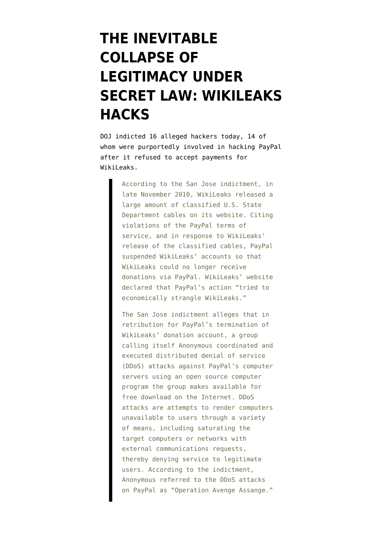## **[THE INEVITABLE](https://www.emptywheel.net/2011/07/19/the-inevitable-collapse-of-legitimacy-under-secret-law-wikileaks-hacks/) [COLLAPSE OF](https://www.emptywheel.net/2011/07/19/the-inevitable-collapse-of-legitimacy-under-secret-law-wikileaks-hacks/) [LEGITIMACY UNDER](https://www.emptywheel.net/2011/07/19/the-inevitable-collapse-of-legitimacy-under-secret-law-wikileaks-hacks/) [SECRET LAW: WIKILEAKS](https://www.emptywheel.net/2011/07/19/the-inevitable-collapse-of-legitimacy-under-secret-law-wikileaks-hacks/) [HACKS](https://www.emptywheel.net/2011/07/19/the-inevitable-collapse-of-legitimacy-under-secret-law-wikileaks-hacks/)**

DOJ [indicted](http://www.fbi.gov/news/pressrel/press-releases/sixteen-individuals-arrested-in-the-united-states-for-alleged-roles-in-cyber-attacks) 16 alleged hackers today, 14 of whom were purportedly involved in hacking PayPal after it refused to accept payments for WikiLeaks.

> According to the San Jose indictment, in late November 2010, WikiLeaks released a large amount of classified U.S. State Department cables on its website. Citing violations of the PayPal terms of service, and in response to WikiLeaks' release of the classified cables, PayPal suspended WikiLeaks' accounts so that WikiLeaks could no longer receive donations via PayPal. WikiLeaks' website declared that PayPal's action "tried to economically strangle WikiLeaks."

> The San Jose indictment alleges that in retribution for PayPal's termination of WikiLeaks' donation account, a group calling itself Anonymous coordinated and executed distributed denial of service (DDoS) attacks against PayPal's computer servers using an open source computer program the group makes available for free download on the Internet. DDoS attacks are attempts to render computers unavailable to users through a variety of means, including saturating the target computers or networks with external communications requests, thereby denying service to legitimate users. According to the indictment, Anonymous referred to the DDoS attacks on PayPal as "Operation Avenge Assange."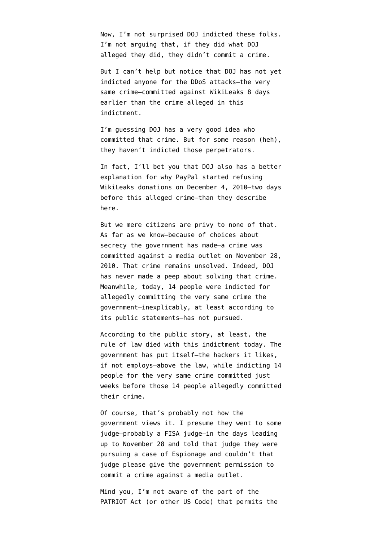Now, I'm not surprised DOJ indicted these folks. I'm not arguing that, if they did what DOJ alleged they did, they didn't commit a crime.

But I can't help but notice that DOJ has not yet indicted anyone for the DDoS attacks–the very same crime[–committed against WikiLeaks 8 days](http://news.cnet.com/8301-1023_3-20023932-93.html) [earlier](http://news.cnet.com/8301-1023_3-20023932-93.html) than the crime alleged in this indictment.

I'm guessing DOJ has a very good idea who committed that crime. But for some reason (heh), they haven't indicted those perpetrators.

In fact, I'll bet you that DOJ also has a better explanation for why PayPal started refusing WikiLeaks donations on December 4, 2010–two days before this alleged crime–than they describe here.

But we mere citizens are privy to none of that. As far as we know–because of choices about secrecy the government has made–a crime was committed against a media outlet on November 28, 2010. That crime remains unsolved. Indeed, DOJ has never made a peep about solving that crime. Meanwhile, today, 14 people were indicted for allegedly committing the very same crime the government–inexplicably, at least according to its public statements–has not pursued.

According to the public story, at least, the rule of law died with this indictment today. The government has put itself–the hackers it likes, if not employs–above the law, while indicting 14 people for the very same crime committed just weeks before those 14 people allegedly committed their crime.

Of course, that's probably not how the government views it. I presume they went to some judge–probably a FISA judge–in the days leading up to November 28 and told that judge they were pursuing a case of Espionage and couldn't that judge please give the government permission to commit a crime against a media outlet.

Mind you, I'm not aware of the part of the PATRIOT Act (or other US Code) that permits the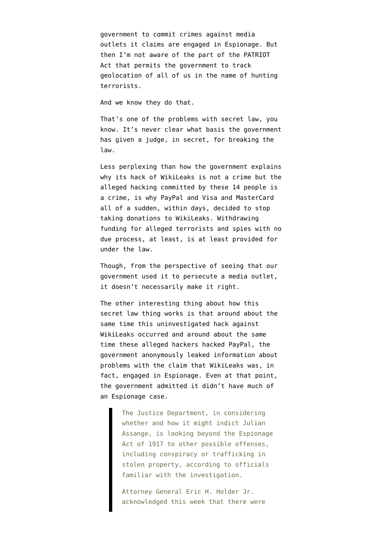government to commit crimes against media outlets it claims are engaged in Espionage. But then I'm not aware of the part of the PATRIOT Act that permits the government to track geolocation of all of us in the name of hunting terrorists.

[And we know they do that.](http://www.cato-at-liberty.org/atlas-bugged-why-the-secret-law-of-the-patriot-act-is-probably-about-location-tracking/)

That's one of the problems with secret law, you know. It's never clear what basis the government has given a judge, in secret, for breaking the law.

Less perplexing than how the government explains why its hack of WikiLeaks is not a crime but the alleged hacking committed by these 14 people is a crime, is why PayPal and Visa and MasterCard all of a sudden, within days, decided to stop taking donations to WikiLeaks. Withdrawing funding for alleged terrorists and spies with no due process, at least, is at least provided for under the law.

Though, from the perspective of seeing that our government used it to persecute a media outlet, it doesn't necessarily make it right.

The other interesting thing about how this secret law thing works is that around about the same time this uninvestigated hack against WikiLeaks occurred and around about the same time these alleged hackers hacked PayPal, the government [anonymously leaked information](https://www.nytimes.com/2010/12/08/world/08leak.html) about problems with the claim that WikiLeaks was, in fact, engaged in Espionage. Even at that point, the government admitted it didn't have much of an Espionage case.

> The Justice Department, in considering whether and how it might indict Julian Assange, is looking beyond the Espionage Act of 1917 to other possible offenses, including conspiracy or trafficking in stolen property, according to officials familiar with the investigation.

Attorney General Eric H. Holder Jr. acknowledged this week that there were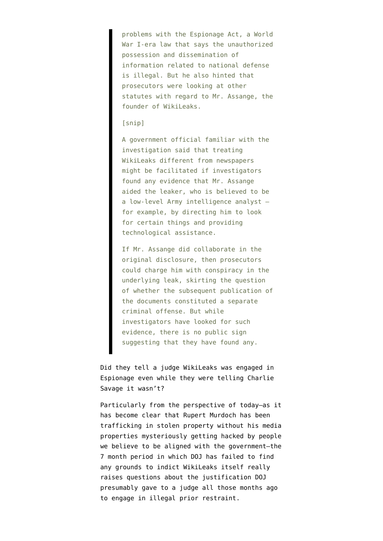problems with the Espionage Act, a World War I-era law that says the unauthorized possession and dissemination of information related to national defense is illegal. But he also hinted that prosecutors were looking at other statutes with regard to Mr. Assange, the founder of WikiLeaks.

## [snip]

A government official familiar with the investigation said that treating WikiLeaks different from newspapers might be facilitated if investigators found any evidence that Mr. Assange aided the leaker, who is believed to be a low-level Army intelligence analyst for example, by directing him to look for certain things and providing technological assistance.

If Mr. Assange did collaborate in the original disclosure, then prosecutors could charge him with conspiracy in the underlying leak, skirting the question of whether the subsequent publication of the documents constituted a separate criminal offense. But while investigators have looked for such evidence, there is no public sign suggesting that they have found any.

Did they tell a judge WikiLeaks was engaged in Espionage even while they were telling Charlie Savage it wasn't?

Particularly from the perspective of today–as it has become clear that Rupert Murdoch has been trafficking in stolen property without his media properties mysteriously getting hacked by people we believe to be aligned with the government–the 7 month period in which DOJ has failed to find any grounds to indict WikiLeaks itself really raises questions about the justification DOJ presumably gave to a judge all those months ago to engage in illegal prior restraint.